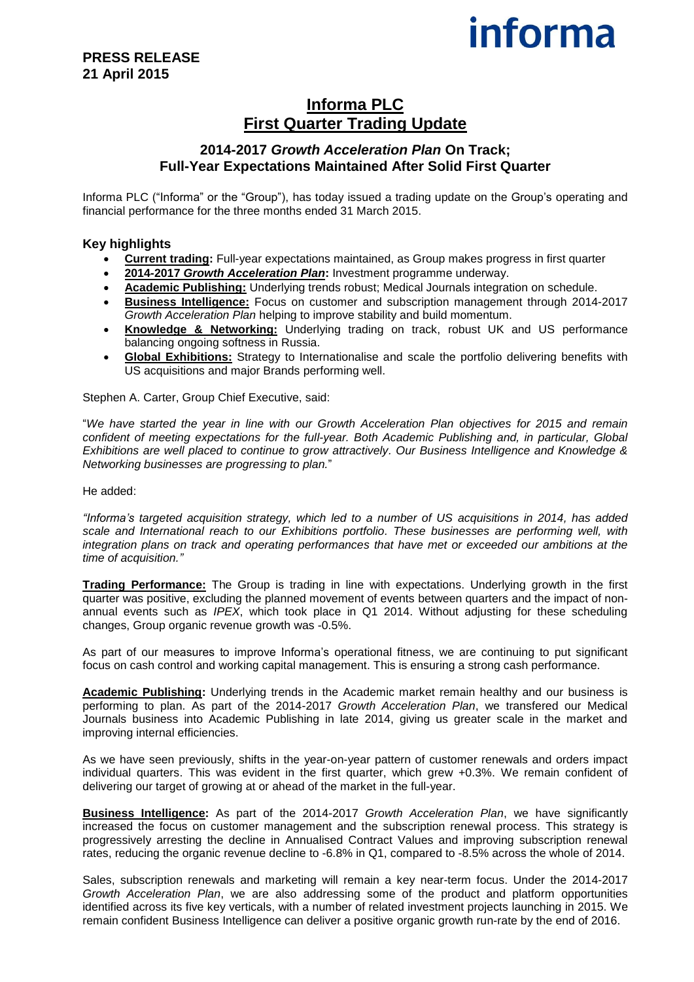# **informa**

## **Informa PLC First Quarter Trading Update**

### **2014-2017** *Growth Acceleration Plan* **On Track; Full-Year Expectations Maintained After Solid First Quarter**

Informa PLC ("Informa" or the "Group"), has today issued a trading update on the Group's operating and financial performance for the three months ended 31 March 2015.

#### **Key highlights**

- **Current trading:** Full-year expectations maintained, as Group makes progress in first quarter
- **2014-2017** *Growth Acceleration Plan***:** Investment programme underway.
- **Academic Publishing:** Underlying trends robust; Medical Journals integration on schedule.
- **Business Intelligence:** Focus on customer and subscription management through 2014-2017 *Growth Acceleration Plan* helping to improve stability and build momentum.
- **Knowledge & Networking:** Underlying trading on track, robust UK and US performance balancing ongoing softness in Russia.
- **Global Exhibitions:** Strategy to Internationalise and scale the portfolio delivering benefits with US acquisitions and major Brands performing well.

Stephen A. Carter, Group Chief Executive, said:

"*We have started the year in line with our Growth Acceleration Plan objectives for 2015 and remain confident of meeting expectations for the full-year. Both Academic Publishing and, in particular, Global Exhibitions are well placed to continue to grow attractively. Our Business Intelligence and Knowledge & Networking businesses are progressing to plan.*"

He added:

*"Informa's targeted acquisition strategy, which led to a number of US acquisitions in 2014, has added scale and International reach to our Exhibitions portfolio. These businesses are performing well, with integration plans on track and operating performances that have met or exceeded our ambitions at the time of acquisition."*

**Trading Performance:** The Group is trading in line with expectations. Underlying growth in the first quarter was positive, excluding the planned movement of events between quarters and the impact of nonannual events such as *IPEX*, which took place in Q1 2014. Without adjusting for these scheduling changes, Group organic revenue growth was -0.5%.

As part of our measures to improve Informa's operational fitness, we are continuing to put significant focus on cash control and working capital management. This is ensuring a strong cash performance.

**Academic Publishing:** Underlying trends in the Academic market remain healthy and our business is performing to plan. As part of the 2014-2017 *Growth Acceleration Plan*, we transfered our Medical Journals business into Academic Publishing in late 2014, giving us greater scale in the market and improving internal efficiencies.

As we have seen previously, shifts in the year-on-year pattern of customer renewals and orders impact individual quarters. This was evident in the first quarter, which grew +0.3%. We remain confident of delivering our target of growing at or ahead of the market in the full-year.

**Business Intelligence:** As part of the 2014-2017 *Growth Acceleration Plan*, we have significantly increased the focus on customer management and the subscription renewal process. This strategy is progressively arresting the decline in Annualised Contract Values and improving subscription renewal rates, reducing the organic revenue decline to -6.8% in Q1, compared to -8.5% across the whole of 2014.

Sales, subscription renewals and marketing will remain a key near-term focus. Under the 2014-2017 *Growth Acceleration Plan*, we are also addressing some of the product and platform opportunities identified across its five key verticals, with a number of related investment projects launching in 2015. We remain confident Business Intelligence can deliver a positive organic growth run-rate by the end of 2016.